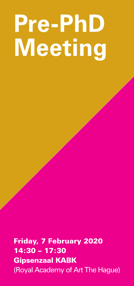## **Pre-PhD Meeting**

Friday, 7 February 2020 14:30 – 17:30 Gipsenzaal KABK (Royal Academy of Art The Hague)